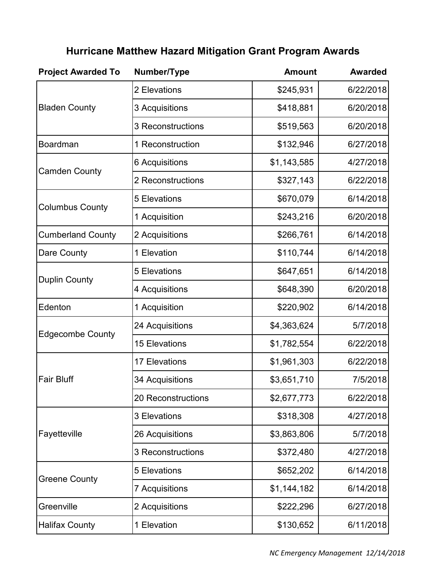| <b>Project Awarded To</b> | Number/Type              | <b>Amount</b> | <b>Awarded</b> |
|---------------------------|--------------------------|---------------|----------------|
| <b>Bladen County</b>      | 2 Elevations             | \$245,931     | 6/22/2018      |
|                           | 3 Acquisitions           | \$418,881     | 6/20/2018      |
|                           | 3 Reconstructions        | \$519,563     | 6/20/2018      |
| <b>Boardman</b>           | 1 Reconstruction         | \$132,946     | 6/27/2018      |
|                           | 6 Acquisitions           | \$1,143,585   | 4/27/2018      |
| <b>Camden County</b>      | 2 Reconstructions        | \$327,143     | 6/22/2018      |
|                           | <b>5 Elevations</b>      | \$670,079     | 6/14/2018      |
| <b>Columbus County</b>    | 1 Acquisition            | \$243,216     | 6/20/2018      |
| <b>Cumberland County</b>  | 2 Acquisitions           | \$266,761     | 6/14/2018      |
| Dare County               | 1 Elevation              | \$110,744     | 6/14/2018      |
|                           | <b>5 Elevations</b>      | \$647,651     | 6/14/2018      |
| <b>Duplin County</b>      | 4 Acquisitions           | \$648,390     | 6/20/2018      |
| Edenton                   | 1 Acquisition            | \$220,902     | 6/14/2018      |
|                           | 24 Acquisitions          | \$4,363,624   | 5/7/2018       |
| <b>Edgecombe County</b>   | <b>15 Elevations</b>     | \$1,782,554   | 6/22/2018      |
|                           | <b>17 Elevations</b>     | \$1,961,303   | 6/22/2018      |
| <b>Fair Bluff</b>         | 34 Acquisitions          | \$3,651,710   | 7/5/2018       |
|                           | 20 Reconstructions       | \$2,677,773   | 6/22/2018      |
|                           | <b>3 Elevations</b>      | \$318,308     | 4/27/2018      |
| Fayetteville              | 26 Acquisitions          | \$3,863,806   | 5/7/2018       |
|                           | <b>3 Reconstructions</b> | \$372,480     | 4/27/2018      |
|                           | <b>5 Elevations</b>      | \$652,202     | 6/14/2018      |
| <b>Greene County</b>      | <b>7 Acquisitions</b>    | \$1,144,182   | 6/14/2018      |
| Greenville                | 2 Acquisitions           | \$222,296     | 6/27/2018      |
| <b>Halifax County</b>     | 1 Elevation              | \$130,652     | 6/11/2018      |

## **Hurricane Matthew Hazard Mitigation Grant Program Awards**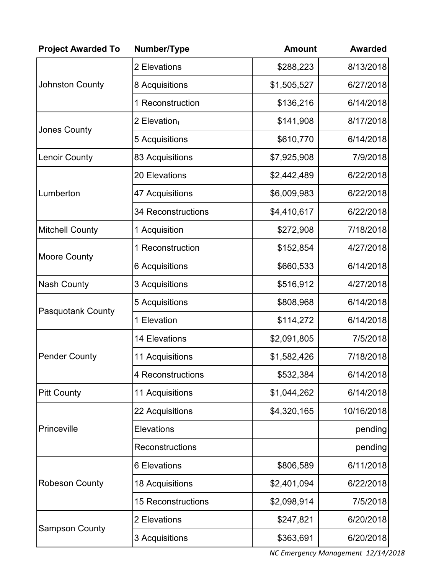| <b>Project Awarded To</b> | Number/Type               | <b>Amount</b> | <b>Awarded</b> |
|---------------------------|---------------------------|---------------|----------------|
| <b>Johnston County</b>    | 2 Elevations              | \$288,223     | 8/13/2018      |
|                           | 8 Acquisitions            | \$1,505,527   | 6/27/2018      |
|                           | 1 Reconstruction          | \$136,216     | 6/14/2018      |
| <b>Jones County</b>       | 2 Elevation <sub>1</sub>  | \$141,908     | 8/17/2018      |
|                           | 5 Acquisitions            | \$610,770     | 6/14/2018      |
| <b>Lenoir County</b>      | 83 Acquisitions           | \$7,925,908   | 7/9/2018       |
|                           | 20 Elevations             | \$2,442,489   | 6/22/2018      |
| Lumberton                 | 47 Acquisitions           | \$6,009,983   | 6/22/2018      |
|                           | <b>34 Reconstructions</b> | \$4,410,617   | 6/22/2018      |
| <b>Mitchell County</b>    | 1 Acquisition             | \$272,908     | 7/18/2018      |
|                           | 1 Reconstruction          | \$152,854     | 4/27/2018      |
| <b>Moore County</b>       | 6 Acquisitions            | \$660,533     | 6/14/2018      |
| <b>Nash County</b>        | 3 Acquisitions            | \$516,912     | 4/27/2018      |
| <b>Pasquotank County</b>  | 5 Acquisitions            | \$808,968     | 6/14/2018      |
|                           | 1 Elevation               | \$114,272     | 6/14/2018      |
|                           | <b>14 Elevations</b>      | \$2,091,805   | 7/5/2018       |
| <b>Pender County</b>      | 11 Acquisitions           | \$1,582,426   | 7/18/2018      |
|                           | 4 Reconstructions         | \$532,384     | 6/14/2018      |
| <b>Pitt County</b>        | 11 Acquisitions           | \$1,044,262   | 6/14/2018      |
| Princeville               | 22 Acquisitions           | \$4,320,165   | 10/16/2018     |
|                           | <b>Elevations</b>         |               | pending        |
|                           | Reconstructions           |               | pending        |
|                           | 6 Elevations              | \$806,589     | 6/11/2018      |
| <b>Robeson County</b>     | 18 Acquisitions           | \$2,401,094   | 6/22/2018      |
|                           | <b>15 Reconstructions</b> | \$2,098,914   | 7/5/2018       |
| <b>Sampson County</b>     | 2 Elevations              | \$247,821     | 6/20/2018      |
|                           | 3 Acquisitions            | \$363,691     | 6/20/2018      |

*NC Emergency Management 12/14/2018*